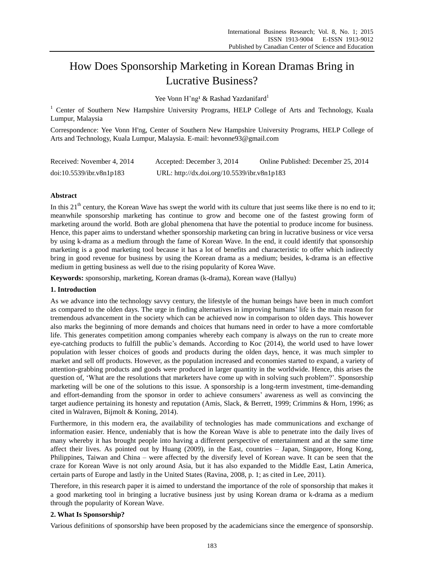# How Does Sponsorship Marketing in Korean Dramas Bring in Lucrative Business?

Yee Vonn H'ng <sup>1</sup>& Rashad Yazdanifard<sup>1</sup>

<sup>1</sup> Center of Southern New Hampshire University Programs, HELP College of Arts and Technology, Kuala Lumpur, Malaysia

Correspondence: Yee Vonn H'ng, Center of Southern New Hampshire University Programs, HELP College of Arts and Technology, Kuala Lumpur, Malaysia. E-mail: hevonne93@gmail.com

| Received: November 4, 2014 | Accepted: December 3, 2014                  | Online Published: December 25, 2014 |
|----------------------------|---------------------------------------------|-------------------------------------|
| doi:10.5539/ibr.v8n1p183   | URL: http://dx.doi.org/10.5539/ibr.v8n1p183 |                                     |

# **Abstract**

In this  $21<sup>th</sup>$  century, the Korean Wave has swept the world with its culture that just seems like there is no end to it; meanwhile sponsorship marketing has continue to grow and become one of the fastest growing form of marketing around the world. Both are global phenomena that have the potential to produce income for business. Hence, this paper aims to understand whether sponsorship marketing can bring in lucrative business or vice versa by using k-drama as a medium through the fame of Korean Wave. In the end, it could identify that sponsorship marketing is a good marketing tool because it has a lot of benefits and characteristic to offer which indirectly bring in good revenue for business by using the Korean drama as a medium; besides, k-drama is an effective medium in getting business as well due to the rising popularity of Korea Wave.

**Keywords:** sponsorship, marketing, Korean dramas (k-drama), Korean wave (Hallyu)

# **1. Introduction**

As we advance into the technology savvy century, the lifestyle of the human beings have been in much comfort as compared to the olden days. The urge in finding alternatives in improving humans' life is the main reason for tremendous advancement in the society which can be achieved now in comparison to olden days. This however also marks the beginning of more demands and choices that humans need in order to have a more comfortable life. This generates competition among companies whereby each company is always on the run to create more eye-catching products to fulfill the public's demands. According to Koc (2014), the world used to have lower population with lesser choices of goods and products during the olden days, hence, it was much simpler to market and sell off products. However, as the population increased and economies started to expand, a variety of attention-grabbing products and goods were produced in larger quantity in the worldwide. Hence, this arises the question of, 'What are the resolutions that marketers have come up with in solving such problem?'. Sponsorship marketing will be one of the solutions to this issue. A sponsorship is a long-term investment, time-demanding and effort-demanding from the sponsor in order to achieve consumers' awareness as well as convincing the target audience pertaining its honesty and reputation (Amis, Slack, & Berrett, 1999; Crimmins & Horn, 1996; as cited in Walraven, Bijmolt & Koning, 2014).

Furthermore, in this modern era, the availability of technologies has made communications and exchange of information easier. Hence, undeniably that is how the Korean Wave is able to penetrate into the daily lives of many whereby it has brought people into having a different perspective of entertainment and at the same time affect their lives. As pointed out by Huang (2009), in the East, countries – Japan, Singapore, Hong Kong, Philippines, Taiwan and China – were affected by the diversify level of Korean wave. It can be seen that the craze for Korean Wave is not only around Asia, but it has also expanded to the Middle East, Latin America, certain parts of Europe and lastly in the United States (Ravina, 2008, p. 1; as cited in Lee, 2011).

Therefore, in this research paper it is aimed to understand the importance of the role of sponsorship that makes it a good marketing tool in bringing a lucrative business just by using Korean drama or k-drama as a medium through the popularity of Korean Wave.

# **2. What Is Sponsorship?**

Various definitions of sponsorship have been proposed by the academicians since the emergence of sponsorship.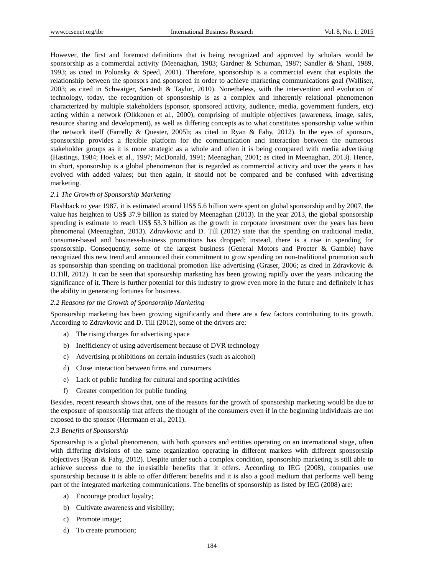However, the first and foremost definitions that is being recognized and approved by scholars would be sponsorship as a commercial activity (Meenaghan, 1983; Gardner & Schuman, 1987; Sandler & Shani, 1989, 1993; as cited in Polonsky & Speed, 2001). Therefore, sponsorship is a commercial event that exploits the relationship between the sponsors and sponsored in order to achieve marketing communications goal (Walliser, 2003; as cited in Schwaiger, Sarstedt & Taylor, 2010). Nonetheless, with the intervention and evolution of technology, today, the recognition of sponsorship is as a complex and inherently relational phenomenon characterized by multiple stakeholders (sponsor, sponsored activity, audience, media, government funders, etc) acting within a network (Olkkonen et al., 2000), comprising of multiple objectives (awareness, image, sales, resource sharing and development), as well as differing concepts as to what constitutes sponsorship value within the network itself (Farrelly & Quester, 2005b; as cited in Ryan & Fahy, 2012). In the eyes of sponsors, sponsorship provides a flexible platform for the communication and interaction between the numerous stakeholder groups as it is more strategic as a whole and often it is being compared with media advertising (Hastings, 1984; Hoek et al., 1997; McDonald, 1991; Meenaghan, 2001; as cited in Meenaghan, 2013). Hence, in short, sponsorship is a global phenomenon that is regarded as commercial activity and over the years it has evolved with added values; but then again, it should not be compared and be confused with advertising marketing.

# *2.1 The Growth of Sponsorship Marketing*

Flashback to year 1987, it is estimated around US\$ 5.6 billion were spent on global sponsorship and by 2007, the value has heighten to US\$ 37.9 billion as stated by Meenaghan (2013). In the year 2013, the global sponsorship spending is estimate to reach US\$ 53.3 billion as the growth in corporate investment over the years has been phenomenal (Meenaghan, 2013). Zdravkovic and D. Till (2012) state that the spending on traditional media, consumer-based and business-business promotions has dropped; instead, there is a rise in spending for sponsorship. Consequently, some of the largest business (General Motors and Procter & Gamble) have recognized this new trend and announced their commitment to grow spending on non-traditional promotion such as sponsorship than spending on traditional promotion like advertising (Graser, 2006; as cited in Zdravkovic & D.Till, 2012). It can be seen that sponsorship marketing has been growing rapidly over the years indicating the significance of it. There is further potential for this industry to grow even more in the future and definitely it has the ability in generating fortunes for business.

# *2.2 Reasons for the Growth of Sponsorship Marketing*

Sponsorship marketing has been growing significantly and there are a few factors contributing to its growth. According to Zdravkovic and D. Till (2012), some of the drivers are:

- a) The rising charges for advertising space
- b) Inefficiency of using advertisement because of DVR technology
- c) Advertising prohibitions on certain industries (such as alcohol)
- d) Close interaction between firms and consumers
- e) Lack of public funding for cultural and sporting activities
- f) Greater competition for public funding

Besides, recent research shows that, one of the reasons for the growth of sponsorship marketing would be due to the exposure of sponsorship that affects the thought of the consumers even if in the beginning individuals are not exposed to the sponsor (Herrmann et al., 2011).

# *2.3 Benefits of Sponsorship*

Sponsorship is a global phenomenon, with both sponsors and entities operating on an international stage, often with differing divisions of the same organization operating in different markets with different sponsorship objectives (Ryan & Fahy, 2012). Despite under such a complex condition, sponsorship marketing is still able to achieve success due to the irresistible benefits that it offers. According to IEG (2008), companies use sponsorship because it is able to offer different benefits and it is also a good medium that performs well being part of the integrated marketing communications. The benefits of sponsorship as listed by IEG (2008) are:

- a) Encourage product loyalty;
- b) Cultivate awareness and visibility;
- c) Promote image;
- d) To create promotion;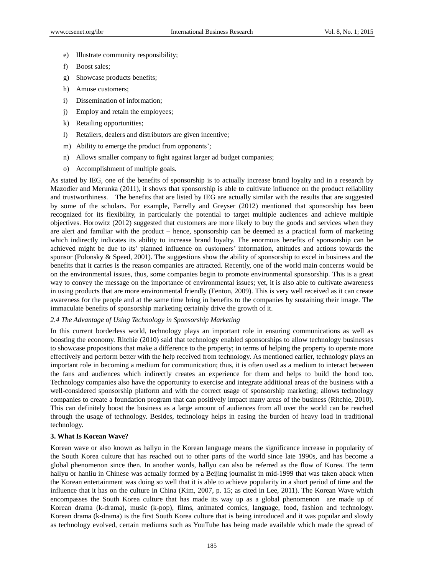- e) Illustrate community responsibility;
- f) Boost sales;
- g) Showcase products benefits;
- h) Amuse customers;
- i) Dissemination of information;
- j) Employ and retain the employees;
- k) Retailing opportunities;
- l) Retailers, dealers and distributors are given incentive;
- m) Ability to emerge the product from opponents';
- n) Allows smaller company to fight against larger ad budget companies;
- o) Accomplishment of multiple goals.

As stated by IEG, one of the benefits of sponsorship is to actually increase brand loyalty and in a research by Mazodier and Merunka (2011), it shows that sponsorship is able to cultivate influence on the product reliability and trustworthiness. The benefits that are listed by IEG are actually similar with the results that are suggested by some of the scholars. For example, Farrelly and Greyser (2012) mentioned that sponsorship has been recognized for its flexibility, in particularly the potential to target multiple audiences and achieve multiple objectives. Horowitz (2012) suggested that customers are more likely to buy the goods and services when they are alert and familiar with the product – hence, sponsorship can be deemed as a practical form of marketing which indirectly indicates its ability to increase brand loyalty. The enormous benefits of sponsorship can be achieved might be due to its' planned influence on customers' information, attitudes and actions towards the sponsor (Polonsky  $\&$  Speed, 2001). The suggestions show the ability of sponsorship to excel in business and the benefits that it carries is the reason companies are attracted. Recently, one of the world main concerns would be on the environmental issues, thus, some companies begin to promote environmental sponsorship. This is a great way to convey the message on the importance of environmental issues; yet, it is also able to cultivate awareness in using products that are more environmental friendly (Fenton, 2009). This is very well received as it can create awareness for the people and at the same time bring in benefits to the companies by sustaining their image. The immaculate benefits of sponsorship marketing certainly drive the growth of it.

## *2.4 The Advantage of Using Technology in Sponsorship Marketing*

In this current borderless world, technology plays an important role in ensuring communications as well as boosting the economy. Ritchie (2010) said that technology enabled sponsorships to allow technology businesses to showcase propositions that make a difference to the property; in terms of helping the property to operate more effectively and perform better with the help received from technology. As mentioned earlier, technology plays an important role in becoming a medium for communication; thus, it is often used as a medium to interact between the fans and audiences which indirectly creates an experience for them and helps to build the bond too. Technology companies also have the opportunity to exercise and integrate additional areas of the business with a well-considered sponsorship platform and with the correct usage of sponsorship marketing; allows technology companies to create a foundation program that can positively impact many areas of the business (Ritchie, 2010). This can definitely boost the business as a large amount of audiences from all over the world can be reached through the usage of technology. Besides, technology helps in easing the burden of heavy load in traditional technology.

#### **3. What Is Korean Wave?**

Korean wave or also known as hallyu in the Korean language means the significance increase in popularity of the South Korea culture that has reached out to other parts of the world since late 1990s, and has become a global phenomenon since then. In another words, hallyu can also be referred as the flow of Korea. The term hallyu or hanliu in Chinese was actually formed by a Beijing journalist in mid-1999 that was taken aback when the Korean entertainment was doing so well that it is able to achieve popularity in a short period of time and the influence that it has on the culture in China (Kim, 2007, p. 15; as cited in Lee, 2011). The Korean Wave which encompasses the South Korea culture that has made its way up as a global phenomenon are made up of Korean drama (k-drama), music (k-pop), films, animated comics, language, food, fashion and technology. Korean drama (k-drama) is the first South Korea culture that is being introduced and it was popular and slowly as technology evolved, certain mediums such as YouTube has being made available which made the spread of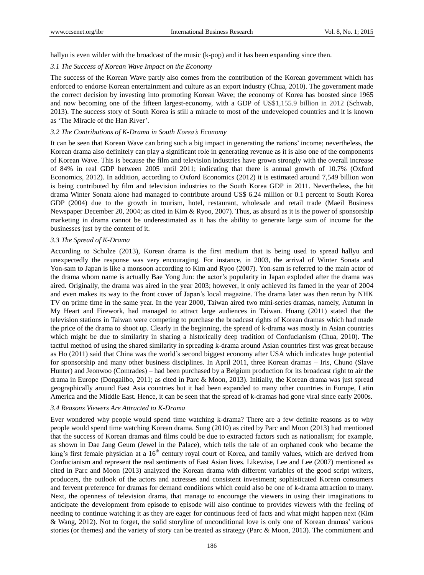hallyu is even wilder with the broadcast of the music (k-pop) and it has been expanding since then.

#### *3.1 The Success of Korean Wave Impact on the Economy*

The success of the Korean Wave partly also comes from the contribution of the Korean government which has enforced to endorse Korean entertainment and culture as an export industry (Chua, 2010). The government made the correct decision by investing into promoting Korean Wave; the economy of Korea has boosted since 1965 and now becoming one of the fifteen largest-economy, with a GDP of US\$1,155.9 billion in 2012 (Schwab, 2013). The success story of South Korea is still a miracle to most of the undeveloped countries and it is known as 'The Miracle of the Han River'.

## *3.2 The Contributions of K-Drama in South Korea's Economy*

It can be seen that Korean Wave can bring such a big impact in generating the nations' income; nevertheless, the Korean drama also definitely can play a significant role in generating revenue as it is also one of the components of Korean Wave. This is because the film and television industries have grown strongly with the overall increase of 84% in real GDP between 2005 until 2011; indicating that there is annual growth of 10.7% (Oxford Economics, 2012). In addition, according to Oxford Economics (2012) it is estimated around 7,549 billion won is being contributed by film and television industries to the South Korea GDP in 2011. Nevertheless, the hit drama Winter Sonata alone had managed to contribute around US\$ 6.24 million or 0.1 percent to South Korea GDP (2004) due to the growth in tourism, hotel, restaurant, wholesale and retail trade (Maeil Business Newspaper December 20, 2004; as cited in Kim & Ryoo, 2007). Thus, as absurd as it is the power of sponsorship marketing in drama cannot be underestimated as it has the ability to generate large sum of income for the businesses just by the content of it.

## *3.3 The Spread of K-Drama*

According to Schulze (2013), Korean drama is the first medium that is being used to spread hallyu and unexpectedly the response was very encouraging. For instance, in 2003, the arrival of Winter Sonata and Yon-sam to Japan is like a monsoon according to Kim and Ryoo (2007). Yon-sam is referred to the main actor of the drama whom name is actually Bae Yong Jun: the actor's popularity in Japan exploded after the drama was aired. Originally, the drama was aired in the year 2003; however, it only achieved its famed in the year of 2004 and even makes its way to the front cover of Japan's local magazine. The drama later was then rerun by NHK TV on prime time in the same year. In the year 2000, Taiwan aired two mini-series dramas, namely, Autumn in My Heart and Firework, had managed to attract large audiences in Taiwan. Huang (2011) stated that the television stations in Taiwan were competing to purchase the broadcast rights of Korean dramas which had made the price of the drama to shoot up. Clearly in the beginning, the spread of k-drama was mostly in Asian countries which might be due to similarity in sharing a historically deep tradition of Confucianism (Chua, 2010). The tactful method of using the shared similarity in spreading k-drama around Asian countries first was great because as Ho (2011) said that China was the world's second biggest economy after USA which indicates huge potential for sponsorship and many other business disciplines. In April 2011, three Korean dramas – Iris, Chuno (Slave Hunter) and Jeonwoo (Comrades) – had been purchased by a Belgium production for its broadcast right to air the drama in Europe (Dongailbo, 2011; as cited in Parc & Moon, 2013). Initially, the Korean drama was just spread geographically around East Asia countries but it had been expanded to many other countries in Europe, Latin America and the Middle East. Hence, it can be seen that the spread of k-dramas had gone viral since early 2000s.

## *3.4 Reasons Viewers Are Attracted to K-Drama*

Ever wondered why people would spend time watching k-drama? There are a few definite reasons as to why people would spend time watching Korean drama. Sung (2010) as cited by Parc and Moon (2013) had mentioned that the success of Korean dramas and films could be due to extracted factors such as nationalism; for example, as shown in Dae Jang Geum (Jewel in the Palace), which tells the tale of an orphaned cook who became the king's first female physician at a 16<sup>th</sup> century royal court of Korea, and family values, which are derived from Confucianism and represent the real sentiments of East Asian lives. Likewise, Lee and Lee (2007) mentioned as cited in Parc and Moon (2013) analyzed the Korean drama with different variables of the good script writers, producers, the outlook of the actors and actresses and consistent investment; sophisticated Korean consumers and fervent preference for dramas for demand conditions which could also be one of k-drama attraction to many. Next, the openness of television drama, that manage to encourage the viewers in using their imaginations to anticipate the development from episode to episode will also continue to provides viewers with the feeling of needing to continue watching it as they are eager for continuous feed of facts and what might happen next (Kim & Wang, 2012). Not to forget, the solid storyline of unconditional love is only one of Korean dramas' various stories (or themes) and the variety of story can be treated as strategy (Parc & Moon, 2013). The commitment and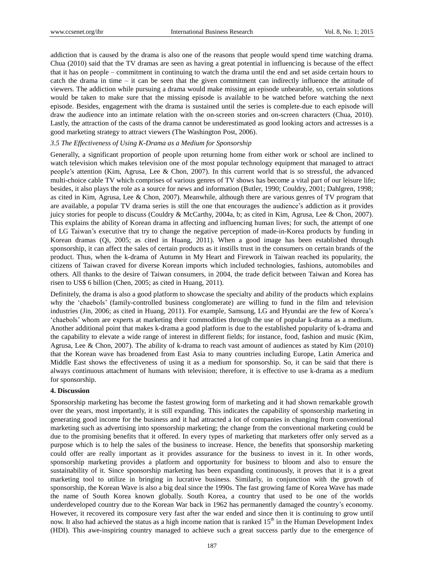addiction that is caused by the drama is also one of the reasons that people would spend time watching drama. Chua (2010) said that the TV dramas are seen as having a great potential in influencing is because of the effect that it has on people – commitment in continuing to watch the drama until the end and set aside certain hours to catch the drama in time – it can be seen that the given commitment can indirectly influence the attitude of viewers. The addiction while pursuing a drama would make missing an episode unbearable, so, certain solutions would be taken to make sure that the missing episode is available to be watched before watching the next episode. Besides, engagement with the drama is sustained until the series is complete due to each episode will draw the audience into an intimate relation with the on-screen stories and on-screen characters (Chua, 2010). Lastly, the attraction of the casts of the drama cannot be underestimated as good looking actors and actresses is a good marketing strategy to attract viewers (The Washington Post, 2006).

## *3.5 The Effectiveness of Using K-Drama as a Medium for Sponsorship*

Generally, a significant proportion of people upon returning home from either work or school are inclined to watch television which makes television one of the most popular technology equipment that managed to attract people's attention (Kim, Agrusa, Lee & Chon, 2007). In this current world that is so stressful, the advanced multi-choice cable TV which comprises of various genres of TV shows has become a vital part of our leisure life; besides, it also plays the role as a source for news and information (Butler, 1990; Couldry, 2001; Dahlgren, 1998; as cited in Kim, Agrusa, Lee & Chon, 2007). Meanwhile, although there are various genres of TV program that are available, a popular TV drama series is still the one that encourages the audience's addiction as it provides juicy stories for people to discuss (Couldry & McCarthy, 2004a, b; as cited in Kim, Agrusa, Lee & Chon, 2007). This explains the ability of Korean drama in affecting and influencing human lives; for such, the attempt of one of LG Taiwan's executive that try to change the negative perception of made-in-Korea products by funding in Korean dramas (Qi, 2005; as cited in Huang, 2011). When a good image has been established through sponsorship, it can affect the sales of certain products as it instills trust in the consumers on certain brands of the product. Thus, when the k-drama of Autumn in My Heart and Firework in Taiwan reached its popularity, the citizens of Taiwan craved for diverse Korean imports which included technologies, fashions, automobiles and others. All thanks to the desire of Taiwan consumers, in 2004, the trade deficit between Taiwan and Korea has risen to US\$ 6 billion (Chen, 2005; as cited in Huang, 2011).

Definitely, the drama is also a good platform to showcase the specialty and ability of the products which explains why the 'chaebols' (family-controlled business conglomerate) are willing to fund in the film and television industries (Jin, 2006; as cited in Huang, 2011). For example, Samsung, LG and Hyundai are the few of Korea's 'chaebols' whom are experts at marketing their commodities through the use of popular k-drama as a medium. Another additional point that makes k-drama a good platform is due to the established popularity of k-drama and the capability to elevate a wide range of interest in different fields; for instance, food, fashion and music (Kim, Agrusa, Lee & Chon, 2007). The ability of k-drama to reach vast amount of audiences as stated by Kim (2010) that the Korean wave has broadened from East Asia to many countries including Europe, Latin America and Middle East shows the effectiveness of using it as a medium for sponsorship. So, it can be said that there is always continuous attachment of humans with television; therefore, it is effective to use k-drama as a medium for sponsorship.

### **4. Discussion**

Sponsorship marketing has become the fastest growing form of marketing and it had shown remarkable growth over the years, most importantly, it is still expanding. This indicates the capability of sponsorship marketing in generating good income for the business and it had attracted a lot of companies in changing from conventional marketing such as advertising into sponsorship marketing; the change from the conventional marketing could be due to the promising benefits that it offered. In every types of marketing that marketers offer only served as a purpose which is to help the sales of the business to increase. Hence, the benefits that sponsorship marketing could offer are really important as it provides assurance for the business to invest in it. In other words, sponsorship marketing provides a platform and opportunity for business to bloom and also to ensure the sustainability of it. Since sponsorship marketing has been expanding continuously, it proves that it is a great marketing tool to utilize in bringing in lucrative business. Similarly, in conjunction with the growth of sponsorship, the Korean Wave is also a big deal since the 1990s. The fast growing fame of Korea Wave has made the name of South Korea known globally. South Korea, a country that used to be one of the worlds underdeveloped country due to the Korean War back in 1962 has permanently damaged the country's economy. However, it recovered its composure very fast after the war ended and since then it is continuing to grow until now. It also had achieved the status as a high income nation that is ranked 15<sup>th</sup> in the Human Development Index (HDI). This awe-inspiring country managed to achieve such a great success partly due to the emergence of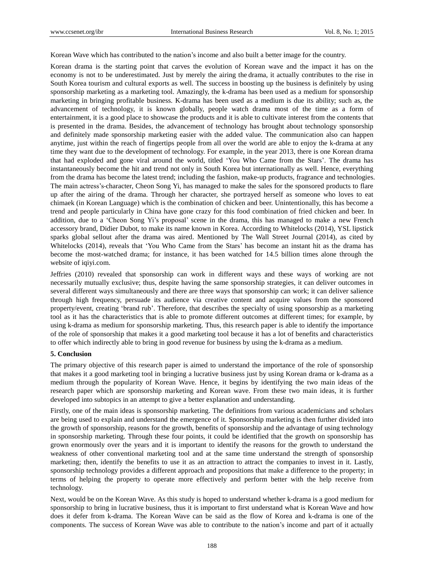Korean Wave which has contributed to the nation's income and also built a better image for the country.

Korean drama is the starting point that carves the evolution of Korean wave and the impact it has on the economy is not to be underestimated. Just by merely the airing the drama, it actually contributes to the rise in South Korea tourism and cultural exports as well. The success in boosting up the business is definitely by using sponsorship marketing as a marketing tool. Amazingly, the k-drama has been used as a medium for sponsorship marketing in bringing profitable business. K-drama has been used as a medium is due its ability; such as, the advancement of technology, it is known globally, people watch drama most of the time as a form of entertainment, it is a good place to showcase the products and it is able to cultivate interest from the contents that is presented in the drama. Besides, the advancement of technology has brought about technology sponsorship and definitely made sponsorship marketing easier with the added value. The communication also can happen anytime, just within the reach of fingertips people from all over the world are able to enjoy the k-drama at any time they want due to the development of technology. For example, in the year 2013, there is one Korean drama that had exploded and gone viral around the world, titled 'You Who Came from the Stars'. The drama has instantaneously become the hit and trend not only in South Korea but internationally as well. Hence, everything from the drama has become the latest trend; including the fashion, make-up products, fragrance and technologies. The main actress's character, Cheon Song Yi, has managed to make the sales for the sponsored products to flare up after the airing of the drama. Through her character, she portrayed herself as someone who loves to eat chimaek (in Korean Language) which is the combination of chicken and beer. Unintentionally, this has become a trend and people particularly in China have gone crazy for this food combination of fried chicken and beer. In addition, due to a 'Cheon Song Yi's proposal' scene in the drama, this has managed to make a new French accessory brand, Didier Dubot, to make its name known in Korea. According to Whitelocks (2014), YSL lipstick sparks global sellout after the drama was aired. Mentioned by The Wall Street Journal (2014), as cited by Whitelocks (2014), reveals that 'You Who Came from the Stars' has become an instant hit as the drama has become the most-watched drama; for instance, it has been watched for 14.5 billion times alone through the website of iqiyi.com.

Jeffries (2010) revealed that sponsorship can work in different ways and these ways of working are not necessarily mutually exclusive; thus, despite having the same sponsorship strategies, it can deliver outcomes in several different ways simultaneously and there are three ways that sponsorship can work; it can deliver salience through high frequency, persuade its audience via creative content and acquire values from the sponsored property/event, creating 'brand rub'. Therefore, that describes the specialty of using sponsorship as a marketing tool as it has the characteristics that is able to promote different outcomes at different times; for example, by using k-drama as medium for sponsorship marketing. Thus, this research paper is able to identify the importance of the role of sponsorship that makes it a good marketing tool because it has a lot of benefits and characteristics to offer which indirectly able to bring in good revenue for business by using the k-drama as a medium.

#### **5. Conclusion**

The primary objective of this research paper is aimed to understand the importance of the role of sponsorship that makes it a good marketing tool in bringing a lucrative business just by using Korean drama or k-drama as a medium through the popularity of Korean Wave. Hence, it begins by identifying the two main ideas of the research paper which are sponsorship marketing and Korean wave. From these two main ideas, it is further developed into subtopics in an attempt to give a better explanation and understanding.

Firstly, one of the main ideas is sponsorship marketing. The definitions from various academicians and scholars are being used to explain and understand the emergence of it. Sponsorship marketing is then further divided into the growth of sponsorship, reasons for the growth, benefits of sponsorship and the advantage of using technology in sponsorship marketing. Through these four points, it could be identified that the growth on sponsorship has grown enormously over the years and it is important to identify the reasons for the growth to understand the weakness of other conventional marketing tool and at the same time understand the strength of sponsorship marketing; then, identify the benefits to use it as an attraction to attract the companies to invest in it. Lastly, sponsorship technology provides a different approach and propositions that make a difference to the property; in terms of helping the property to operate more effectively and perform better with the help receive from technology.

Next, would be on the Korean Wave. As this study is hoped to understand whether k-drama is a good medium for sponsorship to bring in lucrative business, thus it is important to first understand what is Korean Wave and how does it defer from k-drama. The Korean Wave can be said as the flow of Korea and k-drama is one of the components. The success of Korean Wave was able to contribute to the nation's income and part of it actually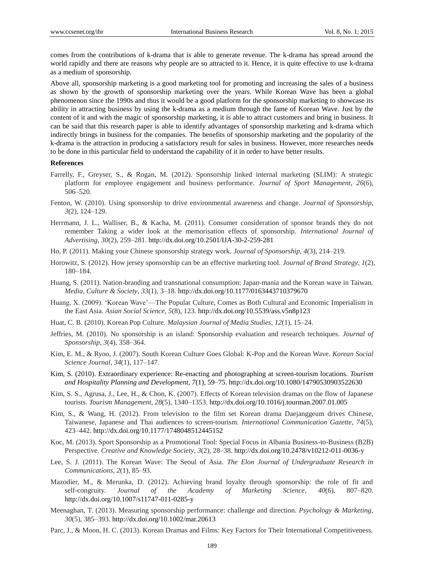comes from the contributions of k-drama that is able to generate revenue. The k-drama has spread around the world rapidly and there are reasons why people are so attracted to it. Hence, it is quite effective to use k-drama as a medium of sponsorship.

Above all, sponsorship marketing is a good marketing tool for promoting and increasing the sales of a business as shown by the growth of sponsorship marketing over the years. While Korean Wave has been a global phenomenon since the 1990s and thus it would be a good platform for the sponsorship marketing to showcase its ability in attracting business by using the k-drama as a medium through the fame of Korean Wave. Just by the content of it and with the magic of sponsorship marketing, it is able to attract customers and bring in business. It can be said that this research paper is able to identify advantages of sponsorship marketing and k-drama which indirectly brings in business for the companies. The benefits of sponsorship marketing and the popularity of the k-drama is the attraction in producing a satisfactory result for sales in business. However, more researches needs to be done in this particular field to understand the capability of it in order to have better results.

# **References**

- Farrelly, F., Greyser, S., & Rogan, M. (2012). Sponsorship linked internal marketing (SLIM): A strategic platform for employee engagement and business performance. *Journal of Sport Management*, *26*(6), 506–520.
- Fenton, W. (2010). Using sponsorship to drive environmental awareness and change. *Journal of Sponsorship*, *3*(2), 124–129.
- Herrmann, J. L., Walliser, B., & Kacha, M. (2011). Consumer consideration of sponsor brands they do not remember Taking a wider look at the memorisation effects of sponsorship. *International Journal of Advertising*, *30*(2), 259–281. http://dx.doi.org/10.2501/IJA-30-2-259-281
- Ho, P. (2011). Making your Chinese sponsorship strategy work. *Journal of Sponsorship*, *4*(3), 214–219.
- Horowitz, S. (2012). How jersey sponsorship can be an effective marketing tool. *Journal of Brand Strategy*, *1*(2), 180–184.
- Huang, S. (2011). Nation-branding and transnational consumption: Japan-mania and the Korean wave in Taiwan. *Media, Culture & Society*, *33*(1), 3–18. http://dx.doi.org/10.1177/0163443710379670
- Huang, X. (2009). 'Korean Wave'—The Popular Culture, Comes as Both Cultural and Economic Imperialism in the East Asia. *Asian Social Science*, *5*(8), 123. http://dx.doi.org/10.5539/ass.v5n8p123
- Huat, C. B. (2010). Korean Pop Culture. *Malaysian Journal of Media Studies*, *12*(1), 15–24.
- Jeffries, M. (2010). No sponsorship is an island: Sponsorship evaluation and research techniques. *Journal of Sponsorship*, *3*(4), 358–364.
- Kim, E. M., & Ryoo, J. (2007). South Korean Culture Goes Global: K-Pop and the Korean Wave. *Korean Social Science Journal*, *34*(1), 117–147.
- Kim, S. (2010). Extraordinary experience: Re-enacting and photographing at screen-tourism locations. *Tourism and Hospitality Planning and Development, 7*(1), 59–75. http://dx.doi.org/10.1080/14790530903522630
- Kim, S. S., Agrusa, J., Lee, H., & Chon, K. (2007). Effects of Korean television dramas on the flow of Japanese tourists. *Tourism Management*, *28*(5), 1340–1353. http://dx.doi.org/10.1016/j.tourman.2007.01.005
- Kim, S., & Wang, H. (2012). From television to the film set Korean drama Daejanggeum drives Chinese, Taiwanese, Japanese and Thai audiences to screen-tourism. *International Communication Gazette*, *74*(5), 423–442. http://dx.doi.org/10.1177/1748048512445152
- Koc, M. (2013). Sport Sponsorship as a Promotional Tool: Special Focus in Albania Business-to-Business (B2B) Perspective. *Creative and Knowledge Society*, *3*(2), 28–38. http://dx.doi.org/10.2478/v10212-011-0036-y
- Lee, S. J. (2011). The Korean Wave: The Seoul of Asia. *The Elon Journal of Undergraduate Research in Communications*, *2*(1), 85–93.
- Mazodier, M., & Merunka, D. (2012). Achieving brand loyalty through sponsorship: the role of fit and self-congruity. *Journal of the Academy of Marketing Science*, *40*(6), 807–820. http://dx.doi.org/10.1007/s11747-011-0285-y
- Meenaghan, T. (2013). Measuring sponsorship performance: challenge and direction. *Psychology & Marketing*, *30*(5), 385–393. http://dx.doi.org/10.1002/mar.20613
- Parc, J., & Moon, H. C. (2013). Korean Dramas and Films: Key Factors for Their International Competitiveness.